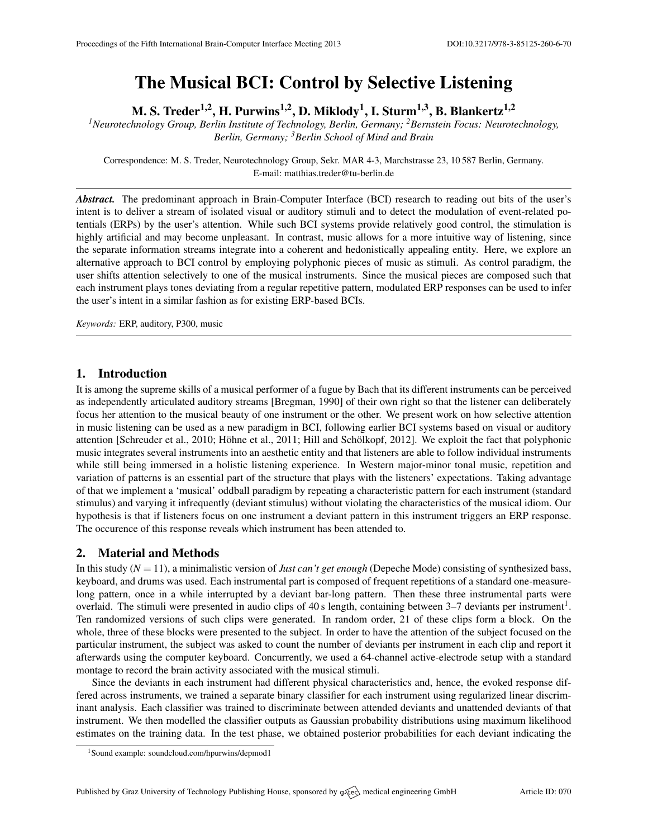# The Musical BCI: Control by Selective Listening

M. S. Treder<sup>1,2</sup>, H. Purwins<sup>1,2</sup>, D. Miklody<sup>1</sup>, I. Sturm<sup>1,3</sup>, B. Blankertz<sup>1,2</sup>

*<sup>1</sup>Neurotechnology Group, Berlin Institute of Technology, Berlin, Germany; <sup>2</sup>Bernstein Focus: Neurotechnology, Berlin, Germany; <sup>3</sup>Berlin School of Mind and Brain*

Correspondence: M. S. Treder, Neurotechnology Group, Sekr. MAR 4-3, Marchstrasse 23, 10 587 Berlin, Germany. E-mail: [matthias.treder@tu-berlin.de](mailto:matthias.treder@tu-berlin.de)

*Abstract.* The predominant approach in Brain-Computer Interface (BCI) research to reading out bits of the user's intent is to deliver a stream of isolated visual or auditory stimuli and to detect the modulation of event-related potentials (ERPs) by the user's attention. While such BCI systems provide relatively good control, the stimulation is highly artificial and may become unpleasant. In contrast, music allows for a more intuitive way of listening, since the separate information streams integrate into a coherent and hedonistically appealing entity. Here, we explore an alternative approach to BCI control by employing polyphonic pieces of music as stimuli. As control paradigm, the user shifts attention selectively to one of the musical instruments. Since the musical pieces are composed such that each instrument plays tones deviating from a regular repetitive pattern, modulated ERP responses can be used to infer the user's intent in a similar fashion as for existing ERP-based BCIs.

*Keywords:* ERP, auditory, P300, music

# 1. Introduction

It is among the supreme skills of a musical performer of a fugue by Bach that its different instruments can be perceived as independently articulated auditory streams [\[Bregman,](#page-1-0) [1990\]](#page-1-0) of their own right so that the listener can deliberately focus her attention to the musical beauty of one instrument or the other. We present work on how selective attention in music listening can be used as a new paradigm in BCI, following earlier BCI systems based on visual or auditory attention [\[Schreuder et al.,](#page-1-1) [2010;](#page-1-1) Höhne et al., [2011;](#page-1-2) Hill and Schölkopf, [2012\]](#page-1-3). We exploit the fact that polyphonic music integrates several instruments into an aesthetic entity and that listeners are able to follow individual instruments while still being immersed in a holistic listening experience. In Western major-minor tonal music, repetition and variation of patterns is an essential part of the structure that plays with the listeners' expectations. Taking advantage of that we implement a 'musical' oddball paradigm by repeating a characteristic pattern for each instrument (standard stimulus) and varying it infrequently (deviant stimulus) without violating the characteristics of the musical idiom. Our hypothesis is that if listeners focus on one instrument a deviant pattern in this instrument triggers an ERP response. The occurence of this response reveals which instrument has been attended to.

# 2. Material and Methods

In this study (*N* = 11), a minimalistic version of *Just can't get enough* (Depeche Mode) consisting of synthesized bass, keyboard, and drums was used. Each instrumental part is composed of frequent repetitions of a standard one-measurelong pattern, once in a while interrupted by a deviant bar-long pattern. Then these three instrumental parts were overlaid. The stimuli were presented in audio clips of 40 s length, containing between  $3-7$  deviants per instrument<sup>[1](#page-0-0)</sup>. Ten randomized versions of such clips were generated. In random order, 21 of these clips form a block. On the whole, three of these blocks were presented to the subject. In order to have the attention of the subject focused on the particular instrument, the subject was asked to count the number of deviants per instrument in each clip and report it afterwards using the computer keyboard. Concurrently, we used a 64-channel active-electrode setup with a standard montage to record the brain activity associated with the musical stimuli.

Since the deviants in each instrument had different physical characteristics and, hence, the evoked response differed across instruments, we trained a separate binary classifier for each instrument using regularized linear discriminant analysis. Each classifier was trained to discriminate between attended deviants and unattended deviants of that instrument. We then modelled the classifier outputs as Gaussian probability distributions using maximum likelihood estimates on the training data. In the test phase, we obtained posterior probabilities for each deviant indicating the

<span id="page-0-0"></span><sup>1</sup>Sound example: <soundcloud.com/hpurwins/depmod1>